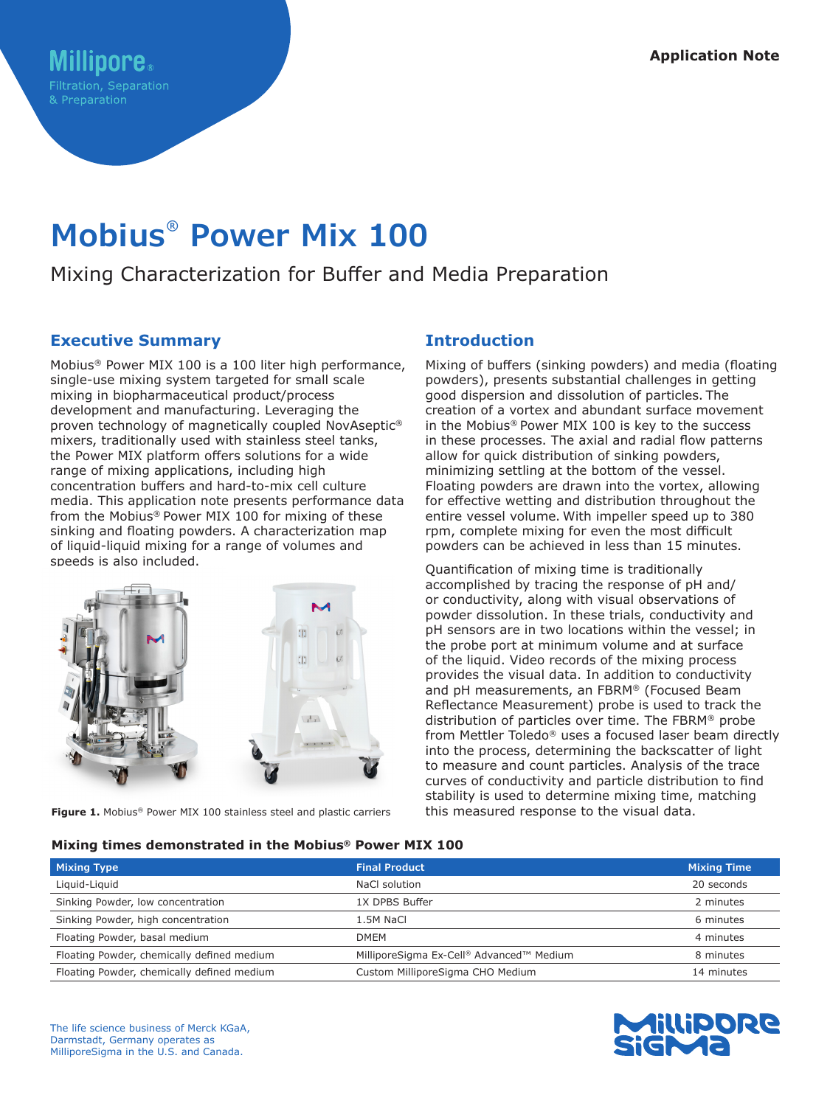# **Mobius® Power Mix 100**

## Mixing Characterization for Buffer and Media Preparation

## **Executive Summary**

Mobius® Power MIX 100 is a 100 liter high performance, single-use mixing system targeted for small scale mixing in biopharmaceutical product/process development and manufacturing. Leveraging the proven technology of magnetically coupled NovAseptic® mixers, traditionally used with stainless steel tanks, the Power MIX platform offers solutions for a wide range of mixing applications, including high concentration buffers and hard-to-mix cell culture media. This application note presents performance data from the Mobius® Power MIX 100 for mixing of these sinking and floating powders. A characterization map of liquid-liquid mixing for a range of volumes and speeds is also included.



**Figure 1.** Mobius® Power MIX 100 stainless steel and plastic carriers

## **Introduction**

Mixing of buffers (sinking powders) and media (floating powders), presents substantial challenges in getting good dispersion and dissolution of particles. The creation of a vortex and abundant surface movement in the Mobius® Power MIX 100 is key to the success in these processes. The axial and radial flow patterns allow for quick distribution of sinking powders, minimizing settling at the bottom of the vessel. Floating powders are drawn into the vortex, allowing for effective wetting and distribution throughout the entire vessel volume. With impeller speed up to 380 rpm, complete mixing for even the most difficult powders can be achieved in less than 15 minutes.

Quantification of mixing time is traditionally accomplished by tracing the response of pH and/ or conductivity, along with visual observations of powder dissolution. In these trials, conductivity and pH sensors are in two locations within the vessel; in the probe port at minimum volume and at surface of the liquid. Video records of the mixing process provides the visual data. In addition to conductivity and pH measurements, an FBRM® (Focused Beam Reflectance Measurement) probe is used to track the distribution of particles over time. The FBRM® probe from Mettler Toledo® uses a focused laser beam directly into the process, determining the backscatter of light to measure and count particles. Analysis of the trace curves of conductivity and particle distribution to find stability is used to determine mixing time, matching this measured response to the visual data.

#### **Mixing times demonstrated in the Mobius® Power MIX 100**

| <b>Mixing Type</b>                         | <b>Final Product</b>                     | <b>Mixing Time</b> |
|--------------------------------------------|------------------------------------------|--------------------|
| Liquid-Liquid                              | NaCl solution                            | 20 seconds         |
| Sinking Powder, low concentration          | 1X DPBS Buffer                           | 2 minutes          |
| Sinking Powder, high concentration         | 1.5M NaCl                                | 6 minutes          |
| Floating Powder, basal medium              | <b>DMEM</b>                              | 4 minutes          |
| Floating Powder, chemically defined medium | MilliporeSigma Ex-Cell® Advanced™ Medium | 8 minutes          |
| Floating Powder, chemically defined medium | Custom MilliporeSigma CHO Medium         | 14 minutes         |

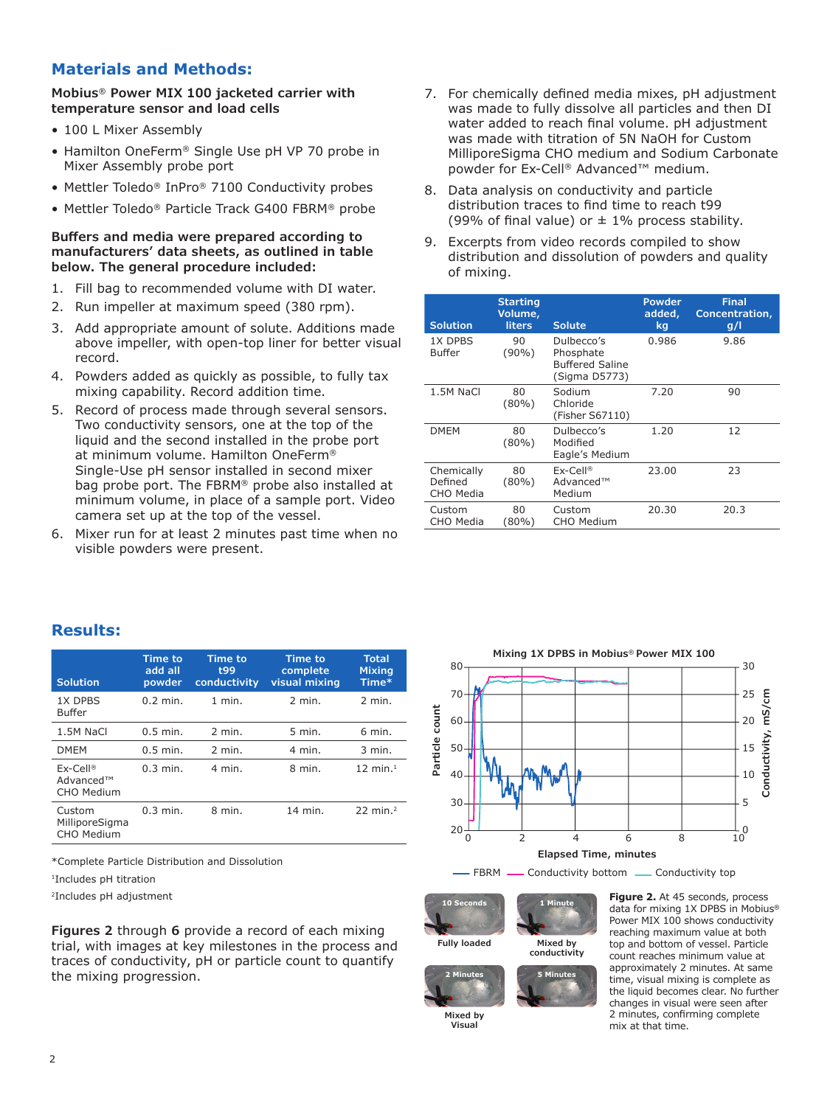## **Materials and Methods:**

**Mobius® Power MIX 100 jacketed carrier with temperature sensor and load cells**

- 100 L Mixer Assembly
- Hamilton OneFerm® Single Use pH VP 70 probe in Mixer Assembly probe port
- Mettler Toledo® InPro® 7100 Conductivity probes
- Mettler Toledo® Particle Track G400 FBRM® probe

#### **Buffers and media were prepared according to manufacturers' data sheets, as outlined in table below. The general procedure included:**

- 1. Fill bag to recommended volume with DI water.
- 2. Run impeller at maximum speed (380 rpm).
- 3. Add appropriate amount of solute. Additions made above impeller, with open-top liner for better visual record.
- 4. Powders added as quickly as possible, to fully tax mixing capability. Record addition time.
- 5. Record of process made through several sensors. Two conductivity sensors, one at the top of the liquid and the second installed in the probe port at minimum volume. Hamilton OneFerm® Single-Use pH sensor installed in second mixer bag probe port. The FBRM® probe also installed at minimum volume, in place of a sample port. Video camera set up at the top of the vessel.
- 6. Mixer run for at least 2 minutes past time when no visible powders were present.
- 7. For chemically defined media mixes, pH adjustment was made to fully dissolve all particles and then DI water added to reach final volume. pH adjustment was made with titration of 5N NaOH for Custom MilliporeSigma CHO medium and Sodium Carbonate powder for Ex-Cell® Advanced™ medium.
- 8. Data analysis on conductivity and particle distribution traces to find time to reach t99 (99% of final value) or  $\pm$  1% process stability.
- 9. Excerpts from video records compiled to show distribution and dissolution of powders and quality of mixing.

| <b>Solution</b>                    | <b>Starting</b><br>Volume,<br><b>liters</b> | <b>Solute</b>                                                      | Powder<br>added,<br>kq | <b>Final</b><br>Concentration,<br>g/l |
|------------------------------------|---------------------------------------------|--------------------------------------------------------------------|------------------------|---------------------------------------|
| 1X DPBS<br>Buffer                  | 90<br>$(90\%)$                              | Dulbecco's<br>Phosphate<br><b>Buffered Saline</b><br>(Sigma D5773) | 0.986                  | 9.86                                  |
| 1.5M NaCl                          | 80<br>$(80\%)$                              | Sodium<br>Chloride<br>(Fisher S67110)                              | 7.20                   | 90                                    |
| <b>DMEM</b>                        | 80<br>$(80\%)$                              | Dulbecco's<br>Modified<br>Eagle's Medium                           | 1.20                   | 12                                    |
| Chemically<br>Defined<br>CHO Media | 80<br>$(80\%)$                              | $Ex-Cell@$<br>Advanced™<br>Medium                                  | 23.00                  | 23                                    |
| Custom<br>CHO Media                | 80<br>$(80\%)$                              | Custom<br>CHO Medium                                               | 20.30                  | 20.3                                  |

## **Results:**

| <b>Solution</b>                        | <b>Time to</b><br>add all<br>powder | <b>Time to</b><br>t99<br>conductivity | <b>Time to</b><br>complete<br>visual mixing | <b>Total</b><br><b>Mixing</b><br>Time* |
|----------------------------------------|-------------------------------------|---------------------------------------|---------------------------------------------|----------------------------------------|
| 1X DPBS<br><b>Buffer</b>               | $0.2$ min.                          | $1$ min.                              | $2$ min.                                    | 2 min.                                 |
| 1.5M NaCl                              | $0.5$ min.                          | $2$ min.                              | $5$ min.                                    | 6 min.                                 |
| <b>DMEM</b>                            | $0.5$ min.                          | $2$ min.                              | 4 min.                                      | $3$ min.                               |
| $Ex-Cell@$<br>Advanced™<br>CHO Medium  | $0.3$ min.                          | 4 min.                                | 8 min.                                      | $12 \text{ min.}^1$                    |
| Custom<br>MilliporeSigma<br>CHO Medium | $0.3$ min.                          | 8 min.                                | 14 min.                                     | $22$ min. <sup>2</sup>                 |

\*Complete Particle Distribution and Dissolution

1Includes pH titration

2Includes pH adjustment

**Figures 2** through **6** provide a record of each mixing trial, with images at key milestones in the process and traces of conductivity, pH or particle count to quantify the mixing progression.



**10 Seconds**

**Fully loaded Mixed by conductivity**

**5 Minutes**

**1 Minute**



**Mixed by Visual**

**Figure 2.** At 45 seconds, process data for mixing 1X DPBS in Mobius**®** Power MIX 100 shows conductivity reaching maximum value at both top and bottom of vessel. Particle count reaches minimum value at approximately 2 minutes. At same time, visual mixing is complete as the liquid becomes clear. No further changes in visual were seen after 2 minutes, confirming complete mix at that time.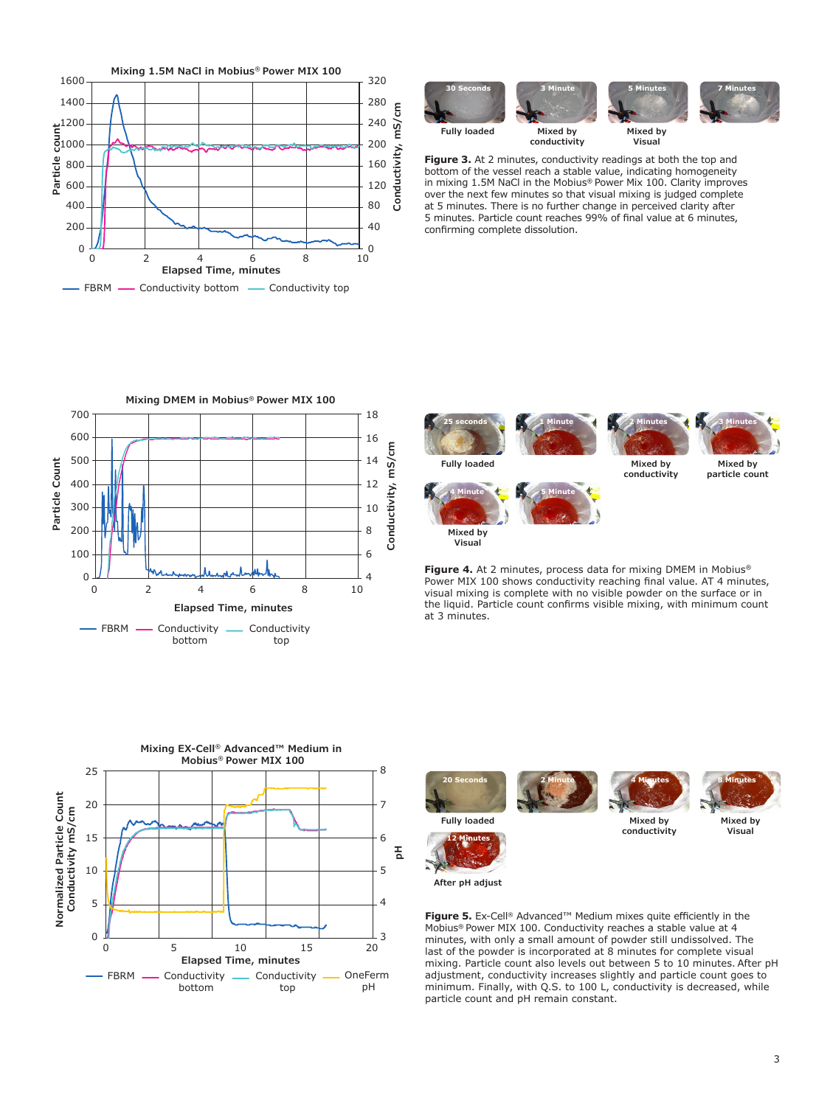



**Visual**

**Figure 3.** At 2 minutes, conductivity readings at both the top and bottom of the vessel reach a stable value, indicating homogeneity in mixing 1.5M NaCl in the Mobius**®** Power Mix 100. Clarity improves over the next few minutes so that visual mixing is judged complete at 5 minutes. There is no further change in perceived clarity after 5 minutes. Particle count reaches 99% of final value at 6 minutes, confirming complete dissolution.

**conductivity**







**Figure 4.** At 2 minutes, process data for mixing DMEM in Mobius**®** Power MIX 100 shows conductivity reaching final value. AT 4 minutes, visual mixing is complete with no visible powder on the surface or in the liquid. Particle count confirms visible mixing, with minimum count at 3 minutes.







**conductivity**



**Mixed by Visual**



**12 Minutes**

**Figure 5.** Ex-Cell® Advanced™ Medium mixes quite efficiently in the Mobius**®** Power MIX 100. Conductivity reaches a stable value at 4 minutes, with only a small amount of powder still undissolved. The last of the powder is incorporated at 8 minutes for complete visual mixing. Particle count also levels out between 5 to 10 minutes. After pH adjustment, conductivity increases slightly and particle count goes to minimum. Finally, with Q.S. to 100 L, conductivity is decreased, while particle count and pH remain constant.